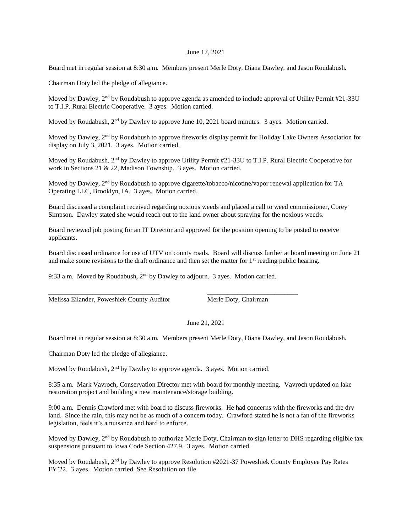## June 17, 2021

Board met in regular session at 8:30 a.m. Members present Merle Doty, Diana Dawley, and Jason Roudabush.

Chairman Doty led the pledge of allegiance.

Moved by Dawley, 2<sup>nd</sup> by Roudabush to approve agenda as amended to include approval of Utility Permit #21-33U to T.I.P. Rural Electric Cooperative. 3 ayes. Motion carried.

Moved by Roudabush, 2<sup>nd</sup> by Dawley to approve June 10, 2021 board minutes. 3 ayes. Motion carried.

Moved by Dawley, 2<sup>nd</sup> by Roudabush to approve fireworks display permit for Holiday Lake Owners Association for display on July 3, 2021. 3 ayes. Motion carried.

Moved by Roudabush, 2<sup>nd</sup> by Dawley to approve Utility Permit #21-33U to T.I.P. Rural Electric Cooperative for work in Sections 21 & 22, Madison Township. 3 ayes. Motion carried.

Moved by Dawley,  $2<sup>nd</sup>$  by Roudabush to approve cigarette/tobacco/nicotine/vapor renewal application for TA Operating LLC, Brooklyn, IA. 3 ayes. Motion carried.

Board discussed a complaint received regarding noxious weeds and placed a call to weed commissioner, Corey Simpson. Dawley stated she would reach out to the land owner about spraying for the noxious weeds.

Board reviewed job posting for an IT Director and approved for the position opening to be posted to receive applicants.

Board discussed ordinance for use of UTV on county roads. Board will discuss further at board meeting on June 21 and make some revisions to the draft ordinance and then set the matter for  $1<sup>st</sup>$  reading public hearing.

9:33 a.m. Moved by Roudabush, 2<sup>nd</sup> by Dawley to adjourn. 3 ayes. Motion carried.

\_\_\_\_\_\_\_\_\_\_\_\_\_\_\_\_\_\_\_\_\_\_\_\_\_\_\_\_\_\_\_\_\_ \_\_\_\_\_\_\_\_\_\_\_\_\_\_\_\_\_\_\_\_\_\_\_\_\_\_\_

Melissa Eilander, Poweshiek County Auditor Merle Doty, Chairman

## June 21, 2021

Board met in regular session at 8:30 a.m. Members present Merle Doty, Diana Dawley, and Jason Roudabush.

Chairman Doty led the pledge of allegiance.

Moved by Roudabush,  $2<sup>nd</sup>$  by Dawley to approve agenda. 3 ayes. Motion carried.

8:35 a.m. Mark Vavroch, Conservation Director met with board for monthly meeting. Vavroch updated on lake restoration project and building a new maintenance/storage building.

9:00 a.m. Dennis Crawford met with board to discuss fireworks. He had concerns with the fireworks and the dry land. Since the rain, this may not be as much of a concern today. Crawford stated he is not a fan of the fireworks legislation, feels it's a nuisance and hard to enforce.

Moved by Dawley, 2<sup>nd</sup> by Roudabush to authorize Merle Doty, Chairman to sign letter to DHS regarding eligible tax suspensions pursuant to Iowa Code Section 427.9. 3 ayes. Motion carried.

Moved by Roudabush, 2nd by Dawley to approve Resolution #2021-37 Poweshiek County Employee Pay Rates FY'22. 3 ayes. Motion carried. See Resolution on file.